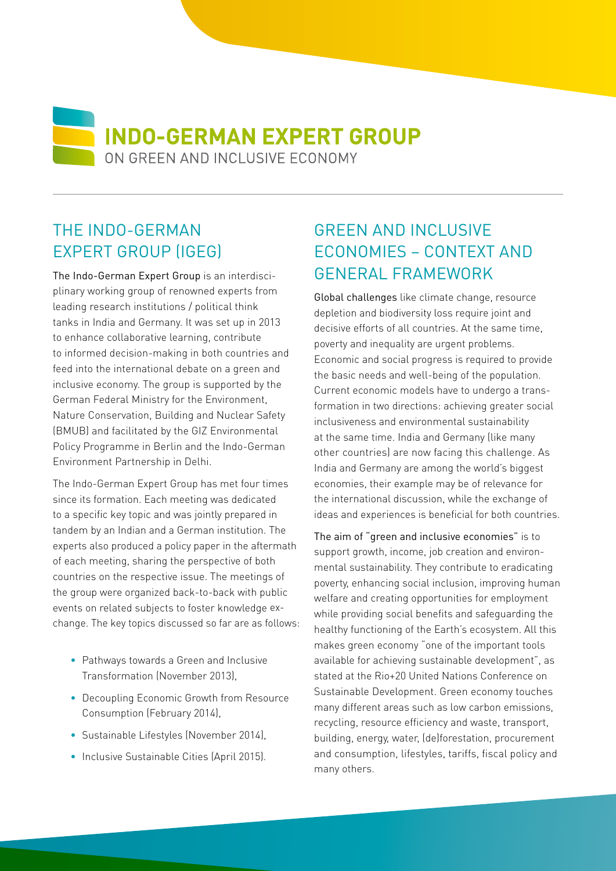**NO INDO-GERMAN EXPERT GROUP** ON GREEN AND INCLUSIVE ECONOMY

## THE INDO-GERMAN EXPERT GROUP (IGEG)

The Indo-German Expert Group is an interdisciplinary working group of renowned experts from leading research institutions / political think tanks in India and Germany. It was set up in 2013 to enhance collaborative learning, contribute to informed decision-making in both countries and feed into the international debate on a green and inclusive economy. The group is supported by the German Federal Ministry for the Environment, Nature Conservation, Building and Nuclear Safety (BMUB) and facilitated by the GIZ Environmental Policy Programme in Berlin and the Indo-German Environment Partnership in Delhi.

The Indo-German Expert Group has met four times since its formation. Each meeting was dedicated to a specific key topic and was jointly prepared in tandem by an Indian and a German institution. The experts also produced a policy paper in the aftermath of each meeting, sharing the perspective of both countries on the respective issue. The meetings of the group were organized back-to-back with public events on related subjects to foster knowledge exchange. The key topics discussed so far are as follows:

- Pathways towards a Green and Inclusive Transformation (November 2013),
- Decoupling Economic Growth from Resource Consumption (February 2014),
- Sustainable Lifestyles (November 2014),
- Inclusive Sustainable Cities (April 2015).

# **GREEN AND INCLUSIVE** ECONOMIES – CONTEXT AND GENERAL FRAMEWORK

Global challenges like climate change, resource depletion and biodiversity loss require joint and decisive efforts of all countries. At the same time, poverty and inequality are urgent problems. Economic and social progress is required to provide the basic needs and well-being of the population. Current economic models have to undergo a transformation in two directions: achieving greater social inclusiveness and environmental sustainability at the same time. India and Germany (like many other countries) are now facing this challenge. As India and Germany are among the world's biggest economies, their example may be of relevance for the international discussion, while the exchange of ideas and experiences is beneficial for both countries.

The aim of "green and inclusive economies" is to support growth, income, job creation and environmental sustainability. They contribute to eradicating poverty, enhancing social inclusion, improving human welfare and creating opportunities for employment while providing social benefits and safeguarding the healthy functioning of the Earth's ecosystem. All this makes green economy "one of the important tools available for achieving sustainable development", as stated at the Rio+20 United Nations Conference on Sustainable Development. Green economy touches many different areas such as low carbon emissions, recycling, resource efficiency and waste, transport, building, energy, water, (de)forestation, procurement and consumption, lifestyles, tariffs, fiscal policy and many others.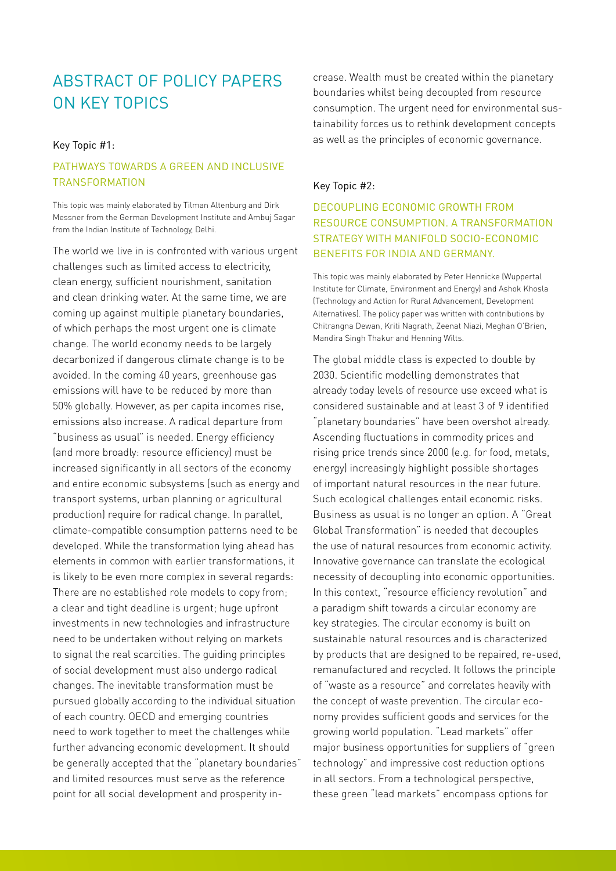## ABSTRACT OF POLICY PAPERS ON KEY TOPICS

### Key Topic #1:

### PATHWAYS TOWARDS A GRFFN AND INCLUSIVE Transformation

This topic was mainly elaborated by Tilman Altenburg and Dirk Messner from the German Development Institute and Ambuj Sagar from the Indian Institute of Technology, Delhi.

The world we live in is confronted with various urgent challenges such as limited access to electricity, clean energy, sufficient nourishment, sanitation and clean drinking water. At the same time, we are coming up against multiple planetary boundaries, of which perhaps the most urgent one is climate change. The world economy needs to be largely decarbonized if dangerous climate change is to be avoided. In the coming 40 years, greenhouse gas emissions will have to be reduced by more than 50% globally. However, as per capita incomes rise, emissions also increase. A radical departure from "business as usual" is needed. Energy efficiency (and more broadly: resource efficiency) must be increased significantly in all sectors of the economy and entire economic subsystems (such as energy and transport systems, urban planning or agricultural production) require for radical change. In parallel, climate-compatible consumption patterns need to be developed. While the transformation lying ahead has elements in common with earlier transformations, it is likely to be even more complex in several regards: There are no established role models to copy from; a clear and tight deadline is urgent; huge upfront investments in new technologies and infrastructure need to be undertaken without relying on markets to signal the real scarcities. The guiding principles of social development must also undergo radical changes. The inevitable transformation must be pursued globally according to the individual situation of each country. OECD and emerging countries need to work together to meet the challenges while further advancing economic development. It should be generally accepted that the "planetary boundaries" and limited resources must serve as the reference point for all social development and prosperity increase. Wealth must be created within the planetary boundaries whilst being decoupled from resource consumption. The urgent need for environmental sustainability forces us to rethink development concepts as well as the principles of economic governance.

#### Key Topic #2:

Decoupling Economic Growth from Resource Consumption. A transformation strategy with manifold socio-economic benefits for India and Germany.

This topic was mainly elaborated by Peter Hennicke (Wuppertal Institute for Climate, Environment and Energy) and Ashok Khosla (Technology and Action for Rural Advancement, Development Alternatives). The policy paper was written with contributions by Chitrangna Dewan, Kriti Nagrath, Zeenat Niazi, Meghan O'Brien, Mandira Singh Thakur and Henning Wilts.

The global middle class is expected to double by 2030. Scientific modelling demonstrates that already today levels of resource use exceed what is considered sustainable and at least 3 of 9 identified "planetary boundaries" have been overshot already. Ascending fluctuations in commodity prices and rising price trends since 2000 (e.g. for food, metals, energy) increasingly highlight possible shortages of important natural resources in the near future. Such ecological challenges entail economic risks. Business as usual is no longer an option. A "Great Global Transformation" is needed that decouples the use of natural resources from economic activity. Innovative governance can translate the ecological necessity of decoupling into economic opportunities. In this context, "resource efficiency revolution" and a paradigm shift towards a circular economy are key strategies. The circular economy is built on sustainable natural resources and is characterized by products that are designed to be repaired, re-used, remanufactured and recycled. It follows the principle of "waste as a resource" and correlates heavily with the concept of waste prevention. The circular economy provides sufficient goods and services for the growing world population. "Lead markets" offer major business opportunities for suppliers of "green technology" and impressive cost reduction options in all sectors. From a technological perspective, these green "lead markets" encompass options for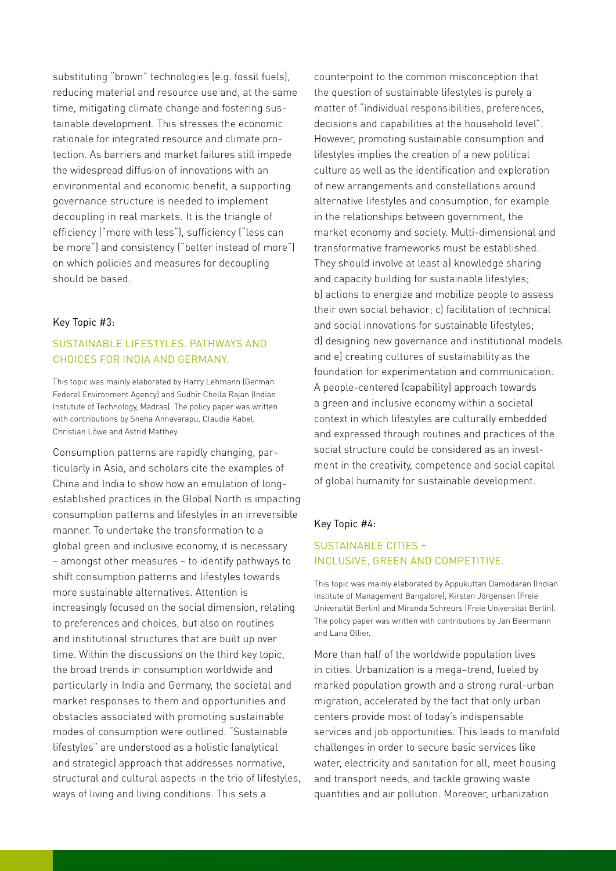substituting "brown" technologies (e.g. fossil fuels), reducing material and resource use and, at the same time, mitigating climate change and fostering sustainable development. This stresses the economic rationale for integrated resource and climate protection. As barriers and market failures still impede the widespread diffusion of innovations with an environmental and economic benefit, a supporting governance structure is needed to implement decoupling in real markets. It is the triangle of efficiency ("more with less"), sufficiency ("less can be more") and consistency ("better instead of more") on which policies and measures for decoupling should be based.

#### Key Topic #3:

### Sustainable Lifestyles. Pathways and choices for India and Germany.

This topic was mainly elaborated by Harry Lehmann (German Federal Environment Agency) and Sudhir Chella Rajan (Indian Instutute of Technology, Madras). The policy paper was written with contributions by Sneha Annavarapu, Claudia Kabel, Christian Löwe and Astrid Matthey.

Consumption patterns are rapidly changing, particularly in Asia, and scholars cite the examples of China and India to show how an emulation of longestablished practices in the Global North is impacting consumption patterns and lifestyles in an irreversible manner. To undertake the transformation to a global green and inclusive economy, it is necessary – amongst other measures – to identify pathways to shift consumption patterns and lifestyles towards more sustainable alternatives. Attention is increasingly focused on the social dimension, relating to preferences and choices, but also on routines and institutional structures that are built up over time. Within the discussions on the third key topic, the broad trends in consumption worldwide and particularly in India and Germany, the societal and market responses to them and opportunities and obstacles associated with promoting sustainable modes of consumption were outlined. "Sustainable lifestyles" are understood as a holistic (analytical and strategic) approach that addresses normative, structural and cultural aspects in the trio of lifestyles, ways of living and living conditions. This sets a

counterpoint to the common misconception that the question of sustainable lifestyles is purely a matter of "individual responsibilities, preferences, decisions and capabilities at the household level". However, promoting sustainable consumption and lifestyles implies the creation of a new political culture as well as the identification and exploration of new arrangements and constellations around alternative lifestyles and consumption, for example in the relationships between government, the market economy and society. Multi-dimensional and transformative frameworks must be established. They should involve at least a) knowledge sharing and capacity building for sustainable lifestyles; b) actions to energize and mobilize people to assess their own social behavior; c) facilitation of technical and social innovations for sustainable lifestyles; d) designing new governance and institutional models and e) creating cultures of sustainability as the foundation for experimentation and communication. A people-centered (capability) approach towards a green and inclusive economy within a societal context in which lifestyles are culturally embedded and expressed through routines and practices of the social structure could be considered as an investment in the creativity, competence and social capital of global humanity for sustainable development.

#### Key Topic #4:

### SUSTAINABLE CITIES – INCLUSIVE, GREEN AND COMPETITIVE.

This topic was mainly elaborated by Appukuttan Damodaran (Indian Institute of Management Bangalore), Kirsten Jörgensen (Freie Universität Berlin) and Miranda Schreurs (Freie Universität Berlin). The policy paper was written with contributions by Jan Beermann and Lana Ollier.

More than half of the worldwide population lives in cities. Urbanization is a mega–trend, fueled by marked population growth and a strong rural-urban migration, accelerated by the fact that only urban centers provide most of today's indispensable services and job opportunities. This leads to manifold challenges in order to secure basic services like water, electricity and sanitation for all, meet housing and transport needs, and tackle growing waste quantities and air pollution. Moreover, urbanization